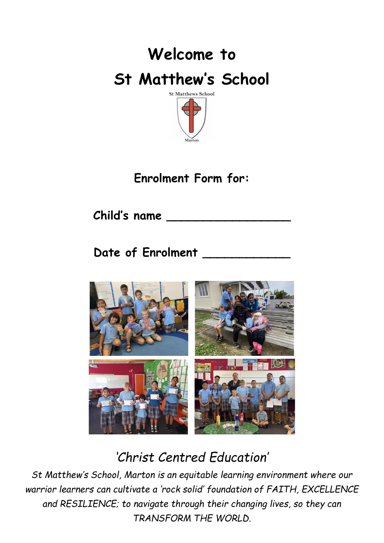

## **Enrolment Form for:**

**Child's name \_\_\_\_\_\_\_\_\_\_\_\_\_\_\_\_\_**

Date of Enrolment



*'Christ Centred Education'*

*St Matthew's School, Marton is an equitable learning environment where our warrior learners can cultivate a 'rock solid' foundation of FAITH, EXCELLENCE and RESILIENCE; to navigate through their changing lives, so they can TRANSFORM THE WORLD.*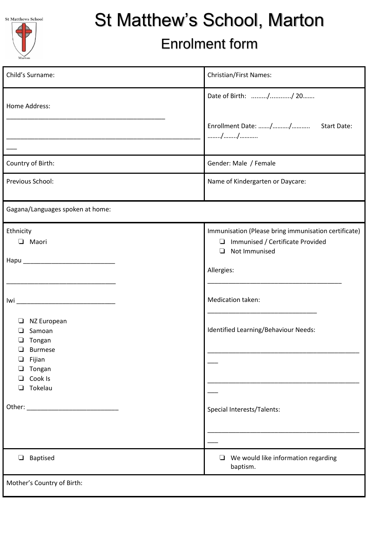| <b>St Matthews Schoo</b> |  |
|--------------------------|--|
|                          |  |



# St Matthew's School, Marton

# Enrolment form

| Child's Surname:                                                                                                                                                                                                               | Christian/First Names:                                                                                              |  |  |  |
|--------------------------------------------------------------------------------------------------------------------------------------------------------------------------------------------------------------------------------|---------------------------------------------------------------------------------------------------------------------|--|--|--|
| Home Address:                                                                                                                                                                                                                  | Date of Birth: // 20                                                                                                |  |  |  |
|                                                                                                                                                                                                                                | //                                                                                                                  |  |  |  |
| Country of Birth:                                                                                                                                                                                                              | Gender: Male / Female                                                                                               |  |  |  |
| Previous School:                                                                                                                                                                                                               | Name of Kindergarten or Daycare:                                                                                    |  |  |  |
| Gagana/Languages spoken at home:                                                                                                                                                                                               |                                                                                                                     |  |  |  |
| Ethnicity<br>$\Box$ Maori                                                                                                                                                                                                      | Immunisation (Please bring immunisation certificate)<br>Immunised / Certificate Provided<br>Not Immunised<br>$\Box$ |  |  |  |
|                                                                                                                                                                                                                                | Allergies:                                                                                                          |  |  |  |
|                                                                                                                                                                                                                                | Medication taken:                                                                                                   |  |  |  |
| NZ European<br>⊔<br>Samoan<br>⊔<br>Tongan<br>□<br><b>Burmese</b>                                                                                                                                                               | Identified Learning/Behaviour Needs:                                                                                |  |  |  |
| Fijian<br>❏<br>Tongan<br>Cook Is<br>❏<br>Tokelau<br>$\Box$                                                                                                                                                                     |                                                                                                                     |  |  |  |
| Other: will be a state of the state of the state of the state of the state of the state of the state of the state of the state of the state of the state of the state of the state of the state of the state of the state of t | Special Interests/Talents:                                                                                          |  |  |  |
|                                                                                                                                                                                                                                |                                                                                                                     |  |  |  |
| Baptised<br>$\Box$                                                                                                                                                                                                             | We would like information regarding<br>$\Box$<br>baptism.                                                           |  |  |  |
| Mother's Country of Birth:                                                                                                                                                                                                     |                                                                                                                     |  |  |  |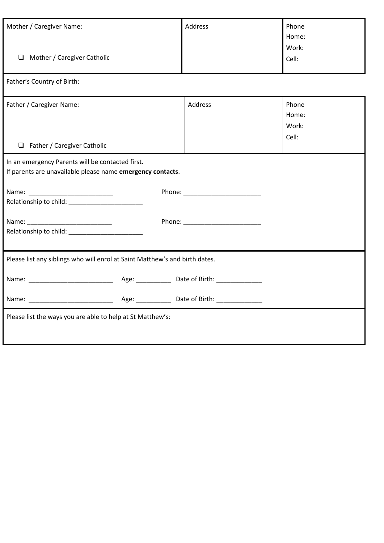| Mother / Caregiver Name:<br>$\Box$ Mother / Caregiver Catholic                                                                                                                                                                 |  | Address | Phone<br>Home:<br>Work:<br>Cell: |  |  |  |
|--------------------------------------------------------------------------------------------------------------------------------------------------------------------------------------------------------------------------------|--|---------|----------------------------------|--|--|--|
| Father's Country of Birth:                                                                                                                                                                                                     |  |         |                                  |  |  |  |
| Father / Caregiver Name:<br>$\Box$ Father / Caregiver Catholic                                                                                                                                                                 |  | Address | Phone<br>Home:<br>Work:<br>Cell: |  |  |  |
| In an emergency Parents will be contacted first.<br>If parents are unavailable please name emergency contacts.                                                                                                                 |  |         |                                  |  |  |  |
| Relationship to child: Network and Child and Child and Child and Child and Child and Child and Child and Child and Child and Child and Child and Child and Child and Child and Child and Child and Child and Child and Child a |  |         |                                  |  |  |  |
|                                                                                                                                                                                                                                |  |         |                                  |  |  |  |
| Please list any siblings who will enrol at Saint Matthew's and birth dates.                                                                                                                                                    |  |         |                                  |  |  |  |
|                                                                                                                                                                                                                                |  |         |                                  |  |  |  |
|                                                                                                                                                                                                                                |  |         |                                  |  |  |  |
| Please list the ways you are able to help at St Matthew's:                                                                                                                                                                     |  |         |                                  |  |  |  |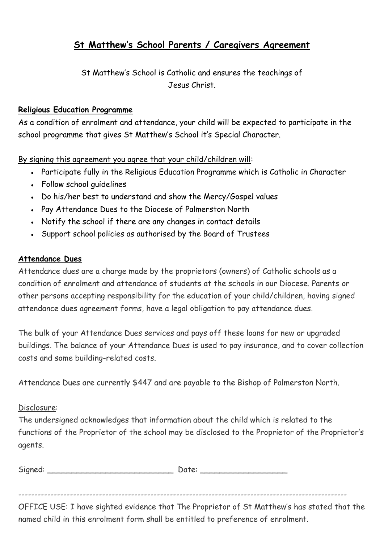#### **St Matthew's School Parents / Caregivers Agreement**

St Matthew's School is Catholic and ensures the teachings of Jesus Christ.

#### **Religious Education Programme**

As a condition of enrolment and attendance, your child will be expected to participate in the school programme that gives St Matthew's School it's Special Character.

By signing this agreement you agree that your child/children will:

- Participate fully in the Religious Education Programme which is Catholic in Character
- Follow school quidelines
- Do his/her best to understand and show the Mercy/Gospel values
- Pay Attendance Dues to the Diocese of Palmerston North
- Notify the school if there are any changes in contact details
- Support school policies as authorised by the Board of Trustees

#### **Attendance Dues**

Attendance dues are a charge made by the proprietors (owners) of Catholic schools as a condition of enrolment and attendance of students at the schools in our Diocese. Parents or other persons accepting responsibility for the education of your child/children, having signed attendance dues agreement forms, have a legal obligation to pay attendance dues.

The bulk of your Attendance Dues services and pays off these loans for new or upgraded buildings. The balance of your Attendance Dues is used to pay insurance, and to cover collection costs and some building-related costs.

Attendance Dues are currently \$447 and are payable to the Bishop of Palmerston North.

#### Disclosure:

The undersigned acknowledges that information about the child which is related to the functions of the Proprietor of the school may be disclosed to the Proprietor of the Proprietor's agents.

| Sig<br>ane.d: | --<br>---- |  |
|---------------|------------|--|
|               |            |  |

------------------------------------------------------------------------------------------------------

OFFICE USE: I have sighted evidence that The Proprietor of St Matthew's has stated that the named child in this enrolment form shall be entitled to preference of enrolment.